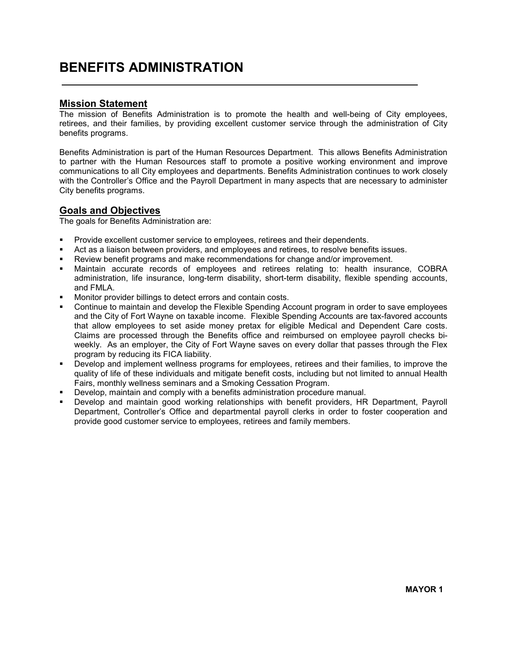# BENEFITS ADMINISTRATION

#### Mission Statement

The mission of Benefits Administration is to promote the health and well-being of City employees, retirees, and their families, by providing excellent customer service through the administration of City benefits programs.

Benefits Administration is part of the Human Resources Department. This allows Benefits Administration to partner with the Human Resources staff to promote a positive working environment and improve communications to all City employees and departments. Benefits Administration continues to work closely with the Controller's Office and the Payroll Department in many aspects that are necessary to administer City benefits programs.

#### Goals and Objectives

The goals for Benefits Administration are:

- Provide excellent customer service to employees, retirees and their dependents.
- Act as a liaison between providers, and employees and retirees, to resolve benefits issues.
- Review benefit programs and make recommendations for change and/or improvement.
- Maintain accurate records of employees and retirees relating to: health insurance, COBRA administration, life insurance, long-term disability, short-term disability, flexible spending accounts, and FMLA.
- Monitor provider billings to detect errors and contain costs.
- Continue to maintain and develop the Flexible Spending Account program in order to save employees and the City of Fort Wayne on taxable income. Flexible Spending Accounts are tax-favored accounts that allow employees to set aside money pretax for eligible Medical and Dependent Care costs. Claims are processed through the Benefits office and reimbursed on employee payroll checks biweekly. As an employer, the City of Fort Wayne saves on every dollar that passes through the Flex program by reducing its FICA liability.
- Develop and implement wellness programs for employees, retirees and their families, to improve the quality of life of these individuals and mitigate benefit costs, including but not limited to annual Health Fairs, monthly wellness seminars and a Smoking Cessation Program.
- Develop, maintain and comply with a benefits administration procedure manual.
- Develop and maintain good working relationships with benefit providers, HR Department, Payroll Department, Controller's Office and departmental payroll clerks in order to foster cooperation and provide good customer service to employees, retirees and family members.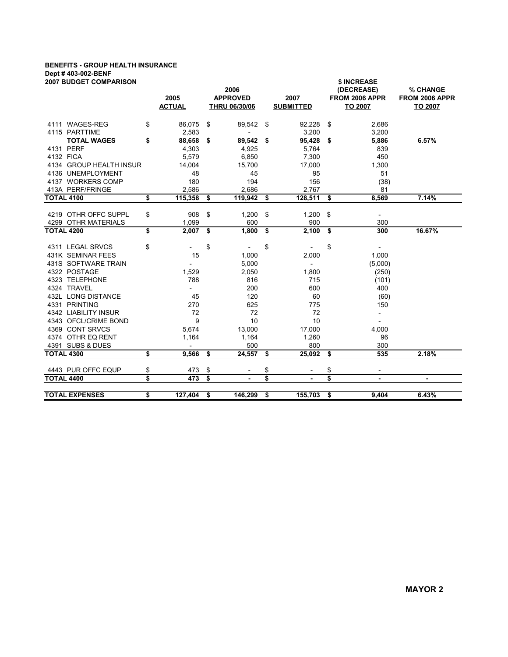## BENEFITS - GROUP HEALTH INSURANCE Dept # 403-002-BENF

| <b>2007 BUDGET COMPARISON</b>            |    | 2005<br><b>ACTUAL</b> | 2006<br><b>APPROVED</b><br><b>THRU 06/30/06</b> |                          |      | 2007<br><b>SUBMITTED</b> |     | \$ INCREASE<br>(DECREASE)<br>FROM 2006 APPR<br>TO 2007 | % CHANGE<br>FROM 2006 APPR<br>TO 2007 |  |  |
|------------------------------------------|----|-----------------------|-------------------------------------------------|--------------------------|------|--------------------------|-----|--------------------------------------------------------|---------------------------------------|--|--|
| 4111 WAGES-REG                           | \$ | 86,075                | \$                                              | 89,542                   | \$   | 92,228                   | \$  | 2,686                                                  |                                       |  |  |
| 4115 PARTTIME                            |    | 2,583                 |                                                 | $\overline{\phantom{a}}$ |      | 3,200                    |     | 3,200                                                  |                                       |  |  |
| <b>TOTAL WAGES</b>                       | \$ | 88,658                | \$                                              | 89,542                   | - \$ | 95,428                   | \$  | 5,886                                                  | 6.57%                                 |  |  |
| 4131 PERF                                |    | 4,303                 |                                                 | 4,925                    |      | 5,764                    |     | 839                                                    |                                       |  |  |
| 4132 FICA                                |    | 5,579                 |                                                 | 6,850                    |      | 7,300                    |     | 450                                                    |                                       |  |  |
| 4134 GROUP HEALTH INSUR                  |    | 14,004                |                                                 | 15,700                   |      | 17,000                   |     | 1,300                                                  |                                       |  |  |
| 4136 UNEMPLOYMENT                        |    | 48                    |                                                 | 45                       |      | 95                       |     | 51                                                     |                                       |  |  |
| 4137 WORKERS COMP                        |    | 180                   |                                                 | 194                      |      | 156                      |     | (38)                                                   |                                       |  |  |
| 413A PERF/FRINGE                         |    | 2,586                 |                                                 | 2,686                    |      | 2,767                    |     | 81                                                     |                                       |  |  |
| <b>TOTAL 4100</b>                        | \$ | 115,358               | \$                                              | 119,942                  | \$   | 128,511                  | \$  | 8,569                                                  | 7.14%                                 |  |  |
|                                          |    |                       |                                                 |                          |      |                          |     |                                                        |                                       |  |  |
| 4219 OTHR OFFC SUPPL                     | \$ | 908                   | \$                                              | 1,200                    | \$   | 1,200                    | -\$ | $\overline{\phantom{a}}$                               |                                       |  |  |
| 4299 OTHR MATERIALS                      |    | 1,099                 |                                                 | 600                      |      | 900                      |     | 300                                                    |                                       |  |  |
| <b>TOTAL 4200</b>                        | \$ | 2,007                 | \$                                              | 1,800                    | \$   | 2,100                    | \$  | 300                                                    | 16.67%                                |  |  |
| 4311 LEGAL SRVCS                         | \$ |                       | \$                                              |                          | \$   |                          | \$  |                                                        |                                       |  |  |
|                                          |    |                       |                                                 |                          |      |                          |     |                                                        |                                       |  |  |
| 431K SEMINAR FEES<br>431S SOFTWARE TRAIN |    | 15                    |                                                 | 1,000                    |      | 2,000                    |     | 1,000                                                  |                                       |  |  |
| 4322 POSTAGE                             |    |                       |                                                 | 5,000                    |      | $\overline{\phantom{a}}$ |     | (5,000)                                                |                                       |  |  |
|                                          |    | 1,529                 |                                                 | 2,050                    |      | 1,800                    |     | (250)                                                  |                                       |  |  |
| 4323 TELEPHONE<br>4324 TRAVEL            |    | 788                   |                                                 | 816                      |      | 715                      |     | (101)                                                  |                                       |  |  |
| 432L LONG DISTANCE                       |    | $\blacksquare$        |                                                 | 200                      |      | 600                      |     | 400                                                    |                                       |  |  |
| 4331 PRINTING                            |    | 45                    |                                                 | 120                      |      | 60                       |     | (60)                                                   |                                       |  |  |
| 4342 LIABILITY INSUR                     |    | 270<br>72             |                                                 | 625<br>72                |      | 775<br>72                |     | 150                                                    |                                       |  |  |
| 4343 OFCL/CRIME BOND                     |    | 9                     |                                                 | 10                       |      | 10                       |     | $\overline{\phantom{a}}$                               |                                       |  |  |
| 4369 CONT SRVCS                          |    | 5,674                 |                                                 | 13,000                   |      | 17,000                   |     | $\overline{\phantom{a}}$<br>4,000                      |                                       |  |  |
| 4374 OTHR EQ RENT                        |    | 1,164                 |                                                 | 1,164                    |      | 1,260                    |     | 96                                                     |                                       |  |  |
| 4391 SUBS & DUES                         |    |                       |                                                 | 500                      |      | 800                      |     | 300                                                    |                                       |  |  |
| <b>TOTAL 4300</b>                        | \$ | 9,566                 | \$                                              | 24,557                   | \$   | 25,092                   | \$  | 535                                                    | 2.18%                                 |  |  |
|                                          |    |                       |                                                 |                          |      |                          |     |                                                        |                                       |  |  |
| 4443 PUR OFFC EQUP                       | \$ | 473                   | \$                                              |                          | \$   |                          | \$  | $\overline{\phantom{a}}$                               |                                       |  |  |
| <b>TOTAL 4400</b>                        | \$ | 473                   | \$                                              | ٠                        | \$   | $\blacksquare$           | \$  | $\blacksquare$                                         | $\blacksquare$                        |  |  |
| <b>TOTAL EXPENSES</b>                    | \$ | 127,404               | \$                                              | 146,299                  | \$   | 155,703                  | \$  | 9,404                                                  | 6.43%                                 |  |  |
|                                          |    |                       |                                                 |                          |      |                          |     |                                                        |                                       |  |  |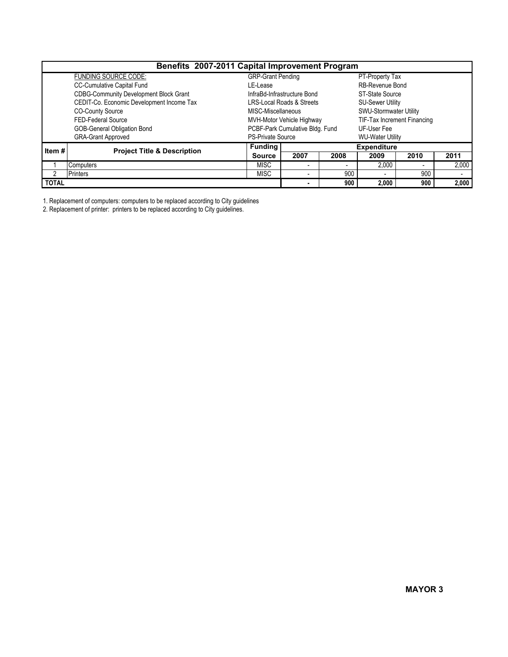| Benefits 2007-2011 Capital Improvement Program |                                               |                          |                                 |      |                               |      |       |  |  |  |  |
|------------------------------------------------|-----------------------------------------------|--------------------------|---------------------------------|------|-------------------------------|------|-------|--|--|--|--|
|                                                | <b>FUNDING SOURCE CODE:</b>                   | <b>GRP-Grant Pending</b> |                                 |      | PT-Property Tax               |      |       |  |  |  |  |
|                                                | CC-Cumulative Capital Fund                    | LE-Lease                 |                                 |      | <b>RB-Revenue Bond</b>        |      |       |  |  |  |  |
|                                                | <b>CDBG-Community Development Block Grant</b> |                          | InfraBd-Infrastructure Bond     |      | ST-State Source               |      |       |  |  |  |  |
|                                                | CEDIT-Co. Economic Development Income Tax     |                          | LRS-Local Roads & Streets       |      | <b>SU-Sewer Utility</b>       |      |       |  |  |  |  |
|                                                | <b>CO-County Source</b>                       | MISC-Miscellaneous       |                                 |      | <b>SWU-Stormwater Utility</b> |      |       |  |  |  |  |
|                                                | FED-Federal Source                            |                          | MVH-Motor Vehicle Highway       |      | TIF-Tax Increment Financing   |      |       |  |  |  |  |
|                                                | GOB-General Obligation Bond                   |                          | PCBF-Park Cumulative Bldg. Fund |      | UF-User Fee                   |      |       |  |  |  |  |
|                                                | <b>GRA-Grant Approved</b>                     | <b>PS-Private Source</b> |                                 |      | <b>WU-Water Utility</b>       |      |       |  |  |  |  |
| Item#                                          | <b>Project Title &amp; Description</b>        | <b>Funding</b>           | <b>Expenditure</b>              |      |                               |      |       |  |  |  |  |
|                                                |                                               | <b>Source</b>            | 2007                            | 2008 | 2009                          | 2010 | 2011  |  |  |  |  |
|                                                | Computers                                     | <b>MISC</b>              | $\overline{\phantom{a}}$        |      | 2,000                         |      | 2,000 |  |  |  |  |
| 2                                              | <b>Printers</b>                               | <b>MISC</b>              | $\sim$                          | 900  | $\overline{\phantom{a}}$      | 900  |       |  |  |  |  |
| <b>TOTAL</b>                                   |                                               |                          |                                 | 900  | 2,000                         | 900  | 2,000 |  |  |  |  |

1. Replacement of computers: computers to be replaced according to City guidelines

2. Replacement of printer: printers to be replaced according to City guidelines.